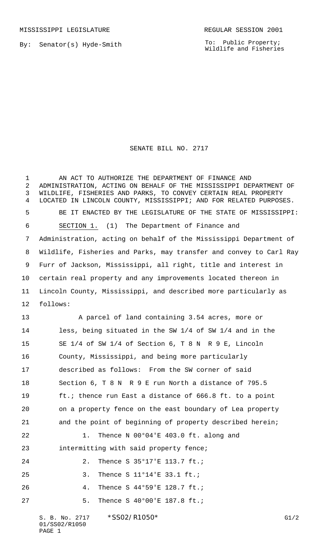MISSISSIPPI LEGISLATURE **REGULAR SESSION 2001** 

By: Senator(s) Hyde-Smith

To: Public Property; Wildlife and Fisheries

## SENATE BILL NO. 2717

1 AN ACT TO AUTHORIZE THE DEPARTMENT OF FINANCE AND ADMINISTRATION, ACTING ON BEHALF OF THE MISSISSIPPI DEPARTMENT OF WILDLIFE, FISHERIES AND PARKS, TO CONVEY CERTAIN REAL PROPERTY LOCATED IN LINCOLN COUNTY, MISSISSIPPI; AND FOR RELATED PURPOSES. BE IT ENACTED BY THE LEGISLATURE OF THE STATE OF MISSISSIPPI: SECTION 1. (1) The Department of Finance and Administration, acting on behalf of the Mississippi Department of Wildlife, Fisheries and Parks, may transfer and convey to Carl Ray Furr of Jackson, Mississippi, all right, title and interest in certain real property and any improvements located thereon in Lincoln County, Mississippi, and described more particularly as 12 follows: A parcel of land containing 3.54 acres, more or less, being situated in the SW 1/4 of SW 1/4 and in the SE 1/4 of SW 1/4 of Section 6, T 8 N R 9 E, Lincoln County, Mississippi, and being more particularly described as follows: From the SW corner of said Section 6, T 8 N R 9 E run North a distance of 795.5 ft.; thence run East a distance of 666.8 ft. to a point on a property fence on the east boundary of Lea property and the point of beginning of property described herein; 22 1. Thence N 00°04'E 403.0 ft. along and intermitting with said property fence; 24 2. Thence S 35°17'E 113.7 ft.; 25 3. Thence S 11°14'E 33.1 ft.; 26 4. Thence S 44°59'E 128.7 ft.; 27 5. Thence S 40°00'E 187.8 ft.;

S. B. No. 2717 \* SS02/R1050\* G1/2 01/SS02/R1050 PAGE 1